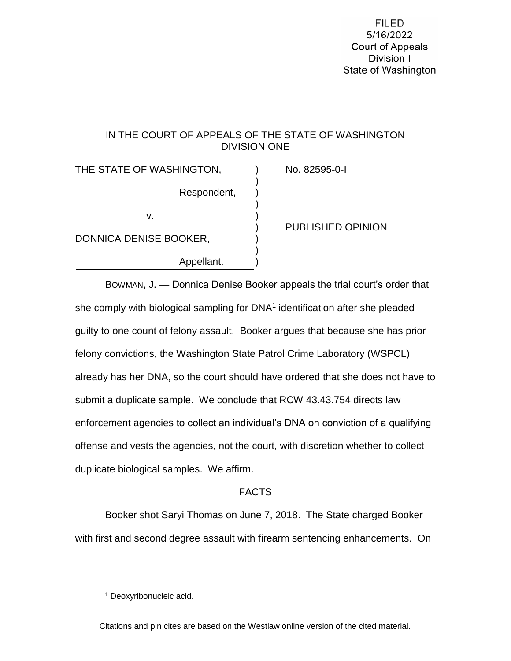**FILED** 5/16/2022 **Court of Appeals** Division I State of Washington

# IN THE COURT OF APPEALS OF THE STATE OF WASHINGTON DIVISION ONE

)

)

)

THE STATE OF WASHINGTON, THE STATE OF WASHINGTON, Respondent, )  $\vee$ . ) DONNICA DENISE BOOKER, Appellant.

) PUBLISHED OPINION

BOWMAN, J. — Donnica Denise Booker appeals the trial court's order that she comply with biological sampling for DNA<sup>1</sup> identification after she pleaded guilty to one count of felony assault. Booker argues that because she has prior felony convictions, the Washington State Patrol Crime Laboratory (WSPCL) already has her DNA, so the court should have ordered that she does not have to submit a duplicate sample. We conclude that RCW 43.43.754 directs law enforcement agencies to collect an individual's DNA on conviction of a qualifying offense and vests the agencies, not the court, with discretion whether to collect duplicate biological samples. We affirm.

# FACTS

Booker shot Saryi Thomas on June 7, 2018. The State charged Booker with first and second degree assault with firearm sentencing enhancements. On

 $\overline{a}$ 

Citations and pin cites are based on the Westlaw online version of the cited material.

<sup>1</sup> Deoxyribonucleic acid.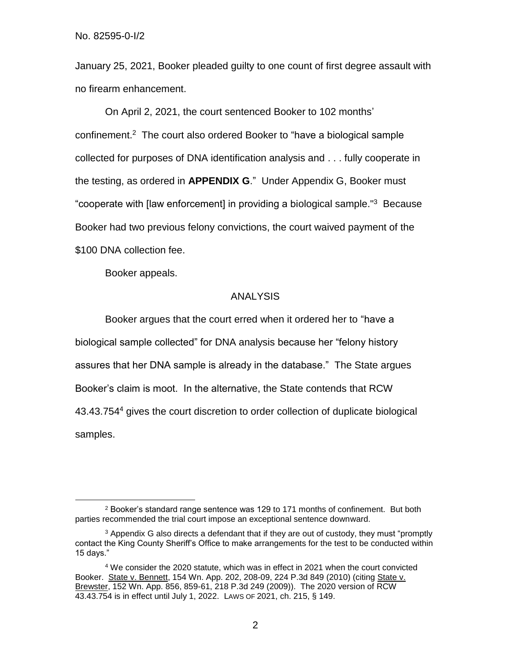No. 82595-0-I/2

January 25, 2021, Booker pleaded guilty to one count of first degree assault with no firearm enhancement.

On April 2, 2021, the court sentenced Booker to 102 months' confinement.<sup>2</sup> The court also ordered Booker to "have a biological sample collected for purposes of DNA identification analysis and . . . fully cooperate in the testing, as ordered in **APPENDIX G**." Under Appendix G, Booker must "cooperate with [law enforcement] in providing a biological sample." <sup>3</sup> Because Booker had two previous felony convictions, the court waived payment of the \$100 DNA collection fee.

Booker appeals.

 $\overline{a}$ 

### ANALYSIS

Booker argues that the court erred when it ordered her to "have a biological sample collected" for DNA analysis because her "felony history assures that her DNA sample is already in the database." The State argues Booker's claim is moot. In the alternative, the State contends that RCW 43.43.754<sup>4</sup> gives the court discretion to order collection of duplicate biological samples.

<sup>2</sup> Booker's standard range sentence was 129 to 171 months of confinement. But both parties recommended the trial court impose an exceptional sentence downward.

<sup>3</sup> Appendix G also directs a defendant that if they are out of custody, they must "promptly contact the King County Sheriff's Office to make arrangements for the test to be conducted within 15 days."

<sup>4</sup> We consider the 2020 statute, which was in effect in 2021 when the court convicted Booker. State v. Bennett, 154 Wn. App. 202, 208-09, 224 P.3d 849 (2010) (citing State v. Brewster, 152 Wn. App. 856, 859-61, 218 P.3d 249 (2009)). The 2020 version of RCW 43.43.754 is in effect until July 1, 2022. LAWS OF 2021, ch. 215, § 149.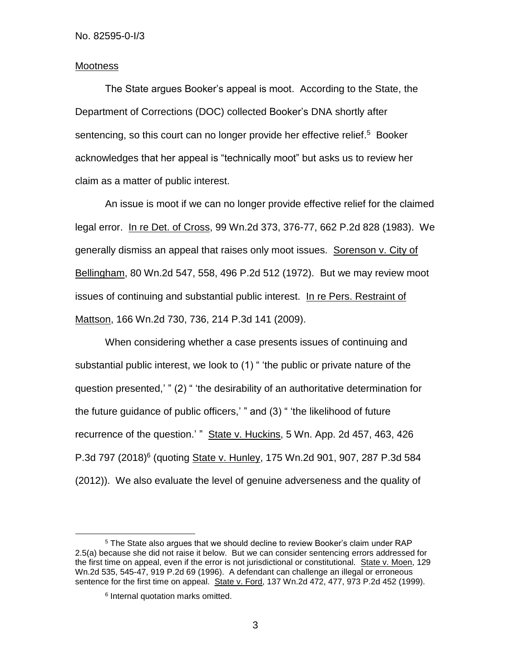### **Mootness**

The State argues Booker's appeal is moot. According to the State, the Department of Corrections (DOC) collected Booker's DNA shortly after sentencing, so this court can no longer provide her effective relief.<sup>5</sup> Booker acknowledges that her appeal is "technically moot" but asks us to review her claim as a matter of public interest.

An issue is moot if we can no longer provide effective relief for the claimed legal error. In re Det. of Cross, 99 Wn.2d 373, 376-77, 662 P.2d 828 (1983). We generally dismiss an appeal that raises only moot issues. Sorenson v. City of Bellingham, 80 Wn.2d 547, 558, 496 P.2d 512 (1972). But we may review moot issues of continuing and substantial public interest. In re Pers. Restraint of Mattson, 166 Wn.2d 730, 736, 214 P.3d 141 (2009).

When considering whether a case presents issues of continuing and substantial public interest, we look to (1) " 'the public or private nature of the question presented,' " (2) " 'the desirability of an authoritative determination for the future guidance of public officers,' " and (3) " 'the likelihood of future recurrence of the question.' " State v. Huckins, 5 Wn. App. 2d 457, 463, 426 P.3d 797 (2018)<sup>6</sup> (quoting State v. Hunley, 175 Wn.2d 901, 907, 287 P.3d 584 (2012)). We also evaluate the level of genuine adverseness and the quality of

 $\overline{a}$ 

3

<sup>5</sup> The State also argues that we should decline to review Booker's claim under RAP 2.5(a) because she did not raise it below. But we can consider sentencing errors addressed for the first time on appeal, even if the error is not jurisdictional or constitutional. State v. Moen, 129 Wn.2d 535, 545-47, 919 P.2d 69 (1996). A defendant can challenge an illegal or erroneous sentence for the first time on appeal. State v. Ford, 137 Wn.2d 472, 477, 973 P.2d 452 (1999).

<sup>6</sup> Internal quotation marks omitted.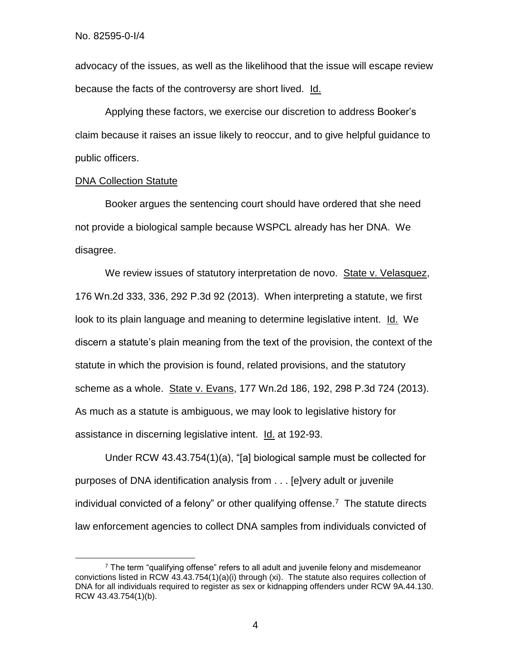advocacy of the issues, as well as the likelihood that the issue will escape review because the facts of the controversy are short lived. Id.

Applying these factors, we exercise our discretion to address Booker's claim because it raises an issue likely to reoccur, and to give helpful guidance to public officers.

### DNA Collection Statute

 $\overline{a}$ 

Booker argues the sentencing court should have ordered that she need not provide a biological sample because WSPCL already has her DNA. We disagree.

We review issues of statutory interpretation de novo. State v. Velasquez, 176 Wn.2d 333, 336, 292 P.3d 92 (2013). When interpreting a statute, we first look to its plain language and meaning to determine legislative intent. Id. We discern a statute's plain meaning from the text of the provision, the context of the statute in which the provision is found, related provisions, and the statutory scheme as a whole. State v. Evans, 177 Wn.2d 186, 192, 298 P.3d 724 (2013). As much as a statute is ambiguous, we may look to legislative history for assistance in discerning legislative intent. Id. at 192-93.

Under RCW 43.43.754(1)(a), "[a] biological sample must be collected for purposes of DNA identification analysis from . . . [e]very adult or juvenile individual convicted of a felony" or other qualifying offense.<sup>7</sup> The statute directs law enforcement agencies to collect DNA samples from individuals convicted of

 $7$  The term "qualifying offense" refers to all adult and juvenile felony and misdemeanor convictions listed in RCW 43.43.754(1)(a)(i) through (xi). The statute also requires collection of DNA for all individuals required to register as sex or kidnapping offenders under RCW 9A.44.130. RCW 43.43.754(1)(b).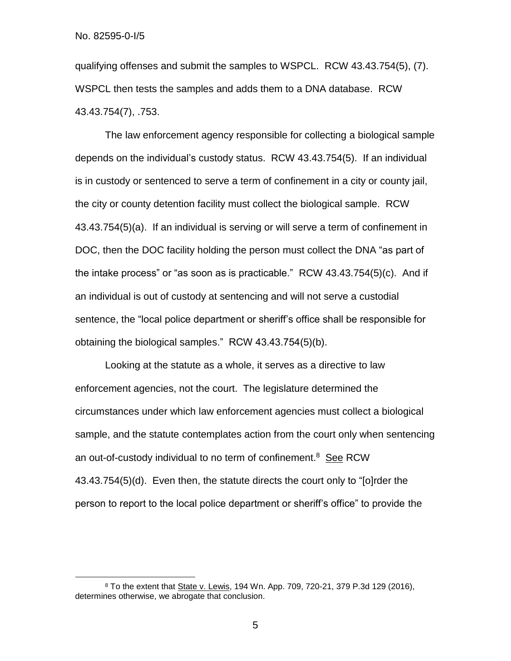$\overline{a}$ 

qualifying offenses and submit the samples to WSPCL. RCW 43.43.754(5), (7). WSPCL then tests the samples and adds them to a DNA database. RCW 43.43.754(7), .753.

The law enforcement agency responsible for collecting a biological sample depends on the individual's custody status. RCW 43.43.754(5). If an individual is in custody or sentenced to serve a term of confinement in a city or county jail, the city or county detention facility must collect the biological sample. RCW 43.43.754(5)(a). If an individual is serving or will serve a term of confinement in DOC, then the DOC facility holding the person must collect the DNA "as part of the intake process" or "as soon as is practicable." RCW 43.43.754(5)(c). And if an individual is out of custody at sentencing and will not serve a custodial sentence, the "local police department or sheriff's office shall be responsible for obtaining the biological samples." RCW 43.43.754(5)(b).

Looking at the statute as a whole, it serves as a directive to law enforcement agencies, not the court. The legislature determined the circumstances under which law enforcement agencies must collect a biological sample, and the statute contemplates action from the court only when sentencing an out-of-custody individual to no term of confinement.<sup>8</sup> See RCW 43.43.754(5)(d). Even then, the statute directs the court only to "[o]rder the person to report to the local police department or sheriff's office" to provide the

<sup>&</sup>lt;sup>8</sup> To the extent that State v. Lewis, 194 Wn. App. 709, 720-21, 379 P.3d 129 (2016), determines otherwise, we abrogate that conclusion.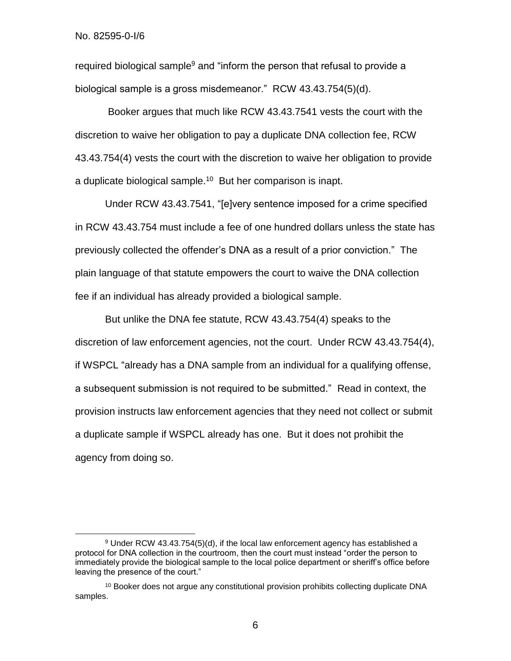No. 82595-0-I/6

 $\overline{a}$ 

required biological sample<sup>9</sup> and "inform the person that refusal to provide a biological sample is a gross misdemeanor." RCW 43.43.754(5)(d).

Booker argues that much like RCW 43.43.7541 vests the court with the discretion to waive her obligation to pay a duplicate DNA collection fee, RCW 43.43.754(4) vests the court with the discretion to waive her obligation to provide a duplicate biological sample.<sup>10</sup> But her comparison is inapt.

Under RCW 43.43.7541, "[e]very sentence imposed for a crime specified in RCW 43.43.754 must include a fee of one hundred dollars unless the state has previously collected the offender's DNA as a result of a prior conviction." The plain language of that statute empowers the court to waive the DNA collection fee if an individual has already provided a biological sample.

But unlike the DNA fee statute, RCW 43.43.754(4) speaks to the discretion of law enforcement agencies, not the court. Under RCW 43.43.754(4), if WSPCL "already has a DNA sample from an individual for a qualifying offense, a subsequent submission is not required to be submitted." Read in context, the provision instructs law enforcement agencies that they need not collect or submit a duplicate sample if WSPCL already has one. But it does not prohibit the agency from doing so.

6

<sup>9</sup> Under RCW 43.43.754(5)(d), if the local law enforcement agency has established a protocol for DNA collection in the courtroom, then the court must instead "order the person to immediately provide the biological sample to the local police department or sheriff's office before leaving the presence of the court."

<sup>&</sup>lt;sup>10</sup> Booker does not argue any constitutional provision prohibits collecting duplicate DNA samples.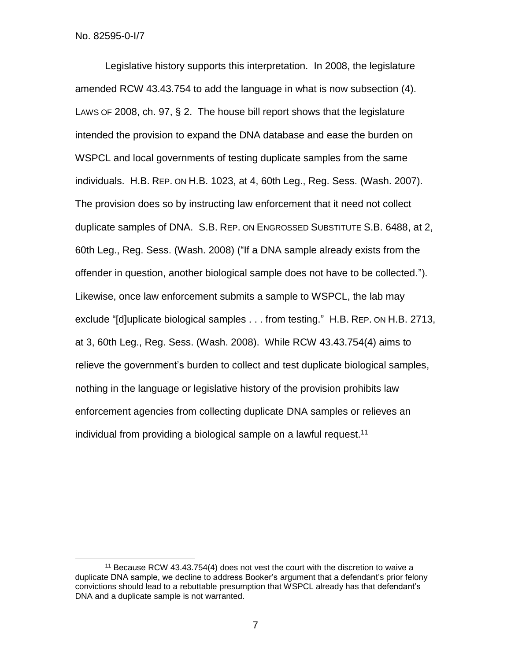No. 82595-0-I/7

 $\overline{a}$ 

Legislative history supports this interpretation. In 2008, the legislature amended RCW 43.43.754 to add the language in what is now subsection (4). LAWS OF 2008, ch. 97, § 2. The house bill report shows that the legislature intended the provision to expand the DNA database and ease the burden on WSPCL and local governments of testing duplicate samples from the same individuals. H.B. REP. ON H.B. 1023, at 4, 60th Leg., Reg. Sess. (Wash. 2007). The provision does so by instructing law enforcement that it need not collect duplicate samples of DNA. S.B. REP. ON ENGROSSED SUBSTITUTE S.B. 6488, at 2, 60th Leg., Reg. Sess. (Wash. 2008) ("If a DNA sample already exists from the offender in question, another biological sample does not have to be collected."). Likewise, once law enforcement submits a sample to WSPCL, the lab may exclude "[d]uplicate biological samples . . . from testing." H.B. REP. ON H.B. 2713, at 3, 60th Leg., Reg. Sess. (Wash. 2008). While RCW 43.43.754(4) aims to relieve the government's burden to collect and test duplicate biological samples, nothing in the language or legislative history of the provision prohibits law enforcement agencies from collecting duplicate DNA samples or relieves an individual from providing a biological sample on a lawful request.<sup>11</sup>

<sup>&</sup>lt;sup>11</sup> Because RCW 43.43.754(4) does not vest the court with the discretion to waive a duplicate DNA sample, we decline to address Booker's argument that a defendant's prior felony convictions should lead to a rebuttable presumption that WSPCL already has that defendant's DNA and a duplicate sample is not warranted.